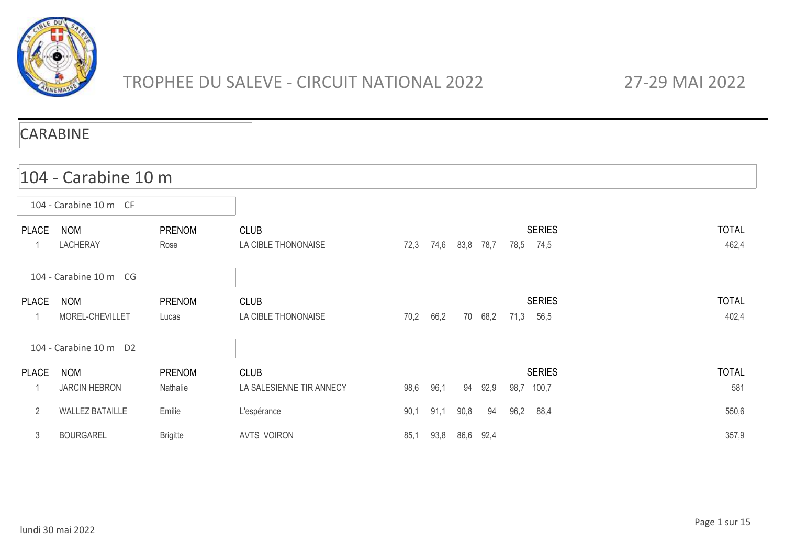

# TROPHEE DU SALEVE - CIRCUIT NATIONAL 2022 27-29 MAI 2022

|              | <b>CARABINE</b>                    |                           |                                         |      |      |      |           |      |                             |                       |
|--------------|------------------------------------|---------------------------|-----------------------------------------|------|------|------|-----------|------|-----------------------------|-----------------------|
|              | 104 - Carabine 10 m                |                           |                                         |      |      |      |           |      |                             |                       |
|              | 104 - Carabine 10 m CF             |                           |                                         |      |      |      |           |      |                             |                       |
| <b>PLACE</b> | <b>NOM</b><br><b>LACHERAY</b>      | <b>PRENOM</b><br>Rose     | <b>CLUB</b><br>LA CIBLE THONONAISE      | 72,3 | 74,6 | 83,8 | 78,7      | 78,5 | <b>SERIES</b><br>74,5       | <b>TOTAL</b><br>462,4 |
|              | 104 - Carabine 10 m CG             |                           |                                         |      |      |      |           |      |                             |                       |
| <b>PLACE</b> | <b>NOM</b><br>MOREL-CHEVILLET      | <b>PRENOM</b><br>Lucas    | <b>CLUB</b><br>LA CIBLE THONONAISE      | 70,2 | 66,2 | 70   | 68,2      | 71,3 | <b>SERIES</b><br>56,5       | <b>TOTAL</b><br>402,4 |
|              | 104 - Carabine 10 m D2             |                           |                                         |      |      |      |           |      |                             |                       |
| <b>PLACE</b> | <b>NOM</b><br><b>JARCIN HEBRON</b> | <b>PRENOM</b><br>Nathalie | <b>CLUB</b><br>LA SALESIENNE TIR ANNECY | 98,6 | 96,1 | 94   | 92,9      |      | <b>SERIES</b><br>98,7 100,7 | <b>TOTAL</b><br>581   |
| 2            | <b>WALLEZ BATAILLE</b>             | Emilie                    | L'espérance                             | 90,1 | 91,1 | 90,8 | 94        | 96,2 | 88,4                        | 550,6                 |
| 3            | <b>BOURGAREL</b>                   | <b>Brigitte</b>           | <b>AVTS VOIRON</b>                      | 85,1 | 93,8 |      | 86,6 92,4 |      |                             | 357,9                 |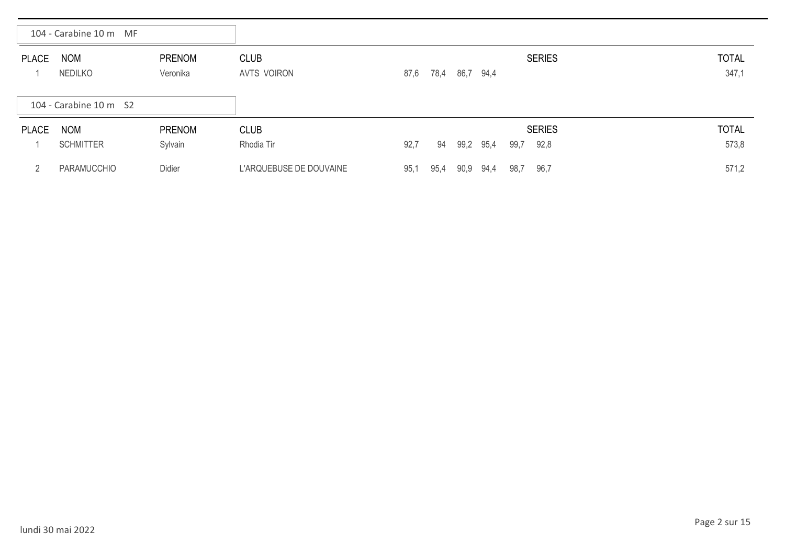|              | 104 - Carabine 10 m MF |                           |                            |      |      |      |      |      |               |                       |
|--------------|------------------------|---------------------------|----------------------------|------|------|------|------|------|---------------|-----------------------|
| <b>PLACE</b> | <b>NOM</b><br>NEDILKO  | <b>PRENOM</b><br>Veronika | <b>CLUB</b><br>AVTS VOIRON | 87,6 | 78,4 | 86,7 | 94,4 |      | <b>SERIES</b> | <b>TOTAL</b><br>347,1 |
|              | 104 - Carabine 10 m S2 |                           |                            |      |      |      |      |      |               |                       |
| <b>PLACE</b> | <b>NOM</b>             | <b>PRENOM</b>             | <b>CLUB</b>                |      |      |      |      |      | <b>SERIES</b> | <b>TOTAL</b>          |
|              | <b>SCHMITTER</b>       | Sylvain                   | Rhodia Tir                 | 92,7 | 94   | 99,2 | 95,4 | 99,7 | 92,8          | 573,8                 |
|              | PARAMUCCHIO            | Didier                    | L'ARQUEBUSE DE DOUVAINE    | 95,1 | 95,4 | 90,9 | 94,4 | 98,7 | 96,7          | 571,2                 |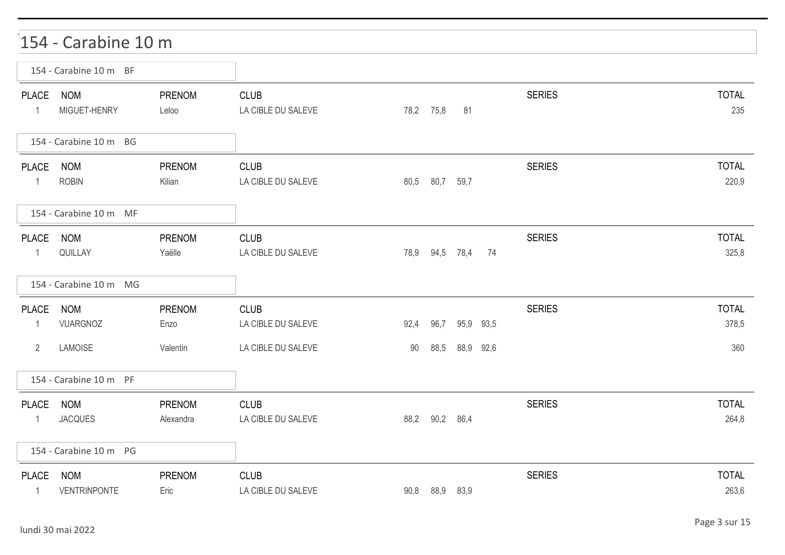|                                                | 154 - Carabine 10 m               |                            |                                                         |            |                |                |           |               |                              |
|------------------------------------------------|-----------------------------------|----------------------------|---------------------------------------------------------|------------|----------------|----------------|-----------|---------------|------------------------------|
|                                                | 154 - Carabine 10 m BF            |                            |                                                         |            |                |                |           |               |                              |
| <b>PLACE</b><br>$\mathbf{1}$                   | <b>NOM</b><br>MIGUET-HENRY        | <b>PRENOM</b><br>Leloo     | <b>CLUB</b><br>LA CIBLE DU SALEVE                       |            | 78,2 75,8      | 81             |           | <b>SERIES</b> | <b>TOTAL</b><br>235          |
|                                                | 154 - Carabine 10 m BG            |                            |                                                         |            |                |                |           |               |                              |
| <b>PLACE</b><br>1                              | <b>NOM</b><br><b>ROBIN</b>        | PRENOM<br>Kilian           | <b>CLUB</b><br>LA CIBLE DU SALEVE                       | 80,5       | 80,7 59,7      |                |           | <b>SERIES</b> | <b>TOTAL</b><br>220,9        |
|                                                | 154 - Carabine 10 m MF            |                            |                                                         |            |                |                |           |               |                              |
| PLACE<br>$\mathbf{1}$                          | <b>NOM</b><br>QUILLAY             | PRENOM<br>Yaëlle           | <b>CLUB</b><br>LA CIBLE DU SALEVE                       |            |                | 78,9 94,5 78,4 | 74        | <b>SERIES</b> | <b>TOTAL</b><br>325,8        |
|                                                | 154 - Carabine 10 m MG            |                            |                                                         |            |                |                |           |               |                              |
| <b>PLACE</b><br>$\mathbf{1}$<br>$\overline{2}$ | <b>NOM</b><br>VUARGNOZ<br>LAMOISE | PRENOM<br>Enzo<br>Valentin | <b>CLUB</b><br>LA CIBLE DU SALEVE<br>LA CIBLE DU SALEVE | 92,4<br>90 | 96,7<br>88,5   | 88,9 92,6      | 95,9 93,5 | <b>SERIES</b> | <b>TOTAL</b><br>378,5<br>360 |
|                                                | 154 - Carabine 10 m PF            |                            |                                                         |            |                |                |           |               |                              |
| PLACE<br>1                                     | <b>NOM</b><br><b>JACQUES</b>      | PRENOM<br>Alexandra        | <b>CLUB</b><br>LA CIBLE DU SALEVE                       |            | 88,2 90,2 86,4 |                |           | <b>SERIES</b> | <b>TOTAL</b><br>264,8        |
|                                                | 154 - Carabine 10 m PG            |                            |                                                         |            |                |                |           |               |                              |
| <b>PLACE</b><br>$\mathbf{1}$                   | <b>NOM</b><br>VENTRINPONTE        | PRENOM<br>Eric             | <b>CLUB</b><br>LA CIBLE DU SALEVE                       |            | 90,8 88,9 83,9 |                |           | <b>SERIES</b> | <b>TOTAL</b><br>263,6        |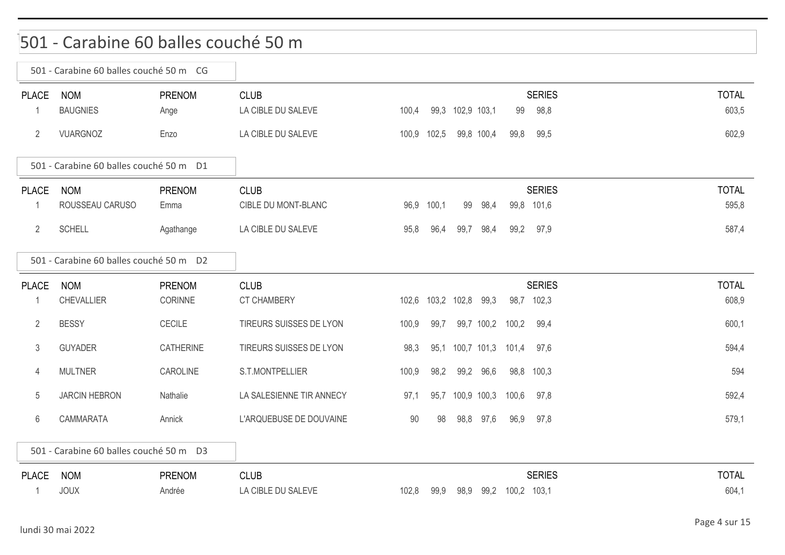### 501 - Carabine 60 balles couché 50 m

|              | 501 - Carabine 60 balles couché 50 m CG |                  |                          |             |      |                        |            |             |               |              |
|--------------|-----------------------------------------|------------------|--------------------------|-------------|------|------------------------|------------|-------------|---------------|--------------|
| <b>PLACE</b> | <b>NOM</b>                              | <b>PRENOM</b>    | <b>CLUB</b>              |             |      |                        |            |             | <b>SERIES</b> | <b>TOTAL</b> |
|              | <b>BAUGNIES</b>                         | Ange             | LA CIBLE DU SALEVE       | 100,4       |      | 99,3 102,9 103,1       |            | 99          | 98,8          | 603,5        |
| 2            | VUARGNOZ                                | Enzo             | LA CIBLE DU SALEVE       | 100,9 102,5 |      | 99,8 100,4             |            | 99,8        | 99,5          | 602,9        |
|              | 501 - Carabine 60 balles couché 50 m D1 |                  |                          |             |      |                        |            |             |               |              |
| <b>PLACE</b> | <b>NOM</b>                              | PRENOM           | <b>CLUB</b>              |             |      |                        |            |             | <b>SERIES</b> | <b>TOTAL</b> |
| -1           | ROUSSEAU CARUSO                         | Emma             | CIBLE DU MONT-BLANC      | 96,9 100,1  |      | 99                     | 98,4       |             | 99,8 101,6    | 595,8        |
| 2            | <b>SCHELL</b>                           | Agathange        | LA CIBLE DU SALEVE       | 95,8        | 96,4 | 99,7                   | 98,4       |             | 99,2 97,9     | 587,4        |
|              | 501 - Carabine 60 balles couché 50 m D2 |                  |                          |             |      |                        |            |             |               |              |
| <b>PLACE</b> | <b>NOM</b>                              | PRENOM           | <b>CLUB</b>              |             |      |                        |            |             | <b>SERIES</b> | <b>TOTAL</b> |
| -1           | <b>CHEVALLIER</b>                       | CORINNE          | CT CHAMBERY              |             |      | 102,6 103,2 102,8 99,3 |            |             | 98,7 102,3    | 608,9        |
| 2            | <b>BESSY</b>                            | <b>CECILE</b>    | TIREURS SUISSES DE LYON  | 100,9       | 99,7 |                        | 99,7 100,2 | 100,2       | 99,4          | 600,1        |
| 3            | <b>GUYADER</b>                          | <b>CATHERINE</b> | TIREURS SUISSES DE LYON  | 98,3        |      | 95,1 100,7 101,3       |            | 101,4       | 97,6          | 594,4        |
| 4            | <b>MULTNER</b>                          | CAROLINE         | S.T.MONTPELLIER          | 100,9       | 98,2 | 99,2                   | 96,6       |             | 98,8 100,3    | 594          |
| 5            | <b>JARCIN HEBRON</b>                    | Nathalie         | LA SALESIENNE TIR ANNECY | 97,1        |      | 95,7 100,9 100,3       |            | 100,6       | 97,8          | 592,4        |
| 6            | CAMMARATA                               | Annick           | L'ARQUEBUSE DE DOUVAINE  | 90          | 98   | 98,8 97,6              |            | 96.9        | 97,8          | 579,1        |
|              | 501 - Carabine 60 balles couché 50 m D3 |                  |                          |             |      |                        |            |             |               |              |
| <b>PLACE</b> | <b>NOM</b>                              | <b>PRENOM</b>    | <b>CLUB</b>              |             |      |                        |            |             | <b>SERIES</b> | <b>TOTAL</b> |
|              | <b>JOUX</b>                             | Andrée           | LA CIBLE DU SALEVE       | 102,8       | 99,9 | 98,9                   | 99,2       | 100,2 103,1 |               | 604,1        |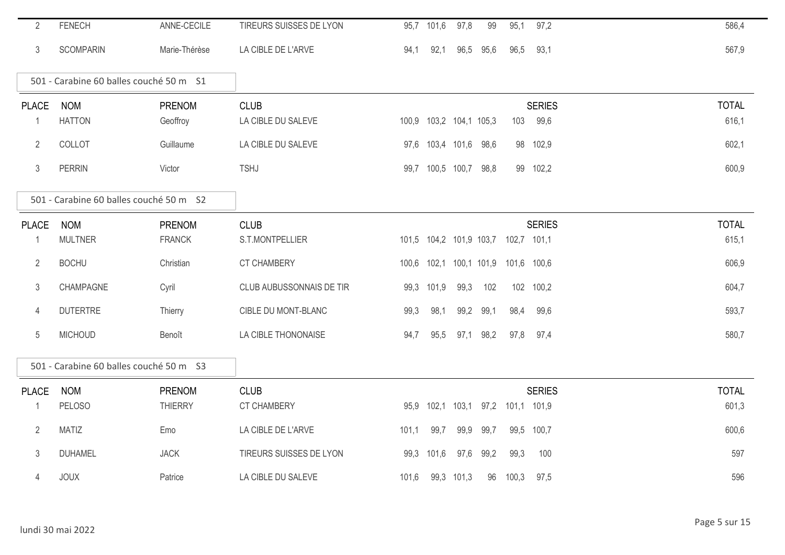| $\overline{2}$ | <b>FENECH</b>                           | ANNE-CECILE    | TIREURS SUISSES DE LYON  |       | 95,7 101,6 | 97,8                    | 99        | 95,1        | 97,2          | 586,4        |
|----------------|-----------------------------------------|----------------|--------------------------|-------|------------|-------------------------|-----------|-------------|---------------|--------------|
| 3              | <b>SCOMPARIN</b>                        | Marie-Thérèse  | LA CIBLE DE L'ARVE       | 94,1  | 92,1       |                         | 96,5 95,6 | 96,5        | 93,1          | 567,9        |
|                | 501 - Carabine 60 balles couché 50 m S1 |                |                          |       |            |                         |           |             |               |              |
| <b>PLACE</b>   | <b>NOM</b>                              | PRENOM         | <b>CLUB</b>              |       |            |                         |           |             | <b>SERIES</b> | <b>TOTAL</b> |
| 1              | <b>HATTON</b>                           | Geoffroy       | LA CIBLE DU SALEVE       |       |            | 100,9 103,2 104,1 105,3 |           | 103         | 99,6          | 616,1        |
| $\overline{2}$ | COLLOT                                  | Guillaume      | LA CIBLE DU SALEVE       |       |            | 97,6 103,4 101,6 98,6   |           | 98          | 102,9         | 602,1        |
| 3              | <b>PERRIN</b>                           | Victor         | <b>TSHJ</b>              |       |            | 99,7 100,5 100,7 98,8   |           |             | 99 102,2      | 600,9        |
|                | 501 - Carabine 60 balles couché 50 m S2 |                |                          |       |            |                         |           |             |               |              |
| <b>PLACE</b>   | <b>NOM</b>                              | <b>PRENOM</b>  | <b>CLUB</b>              |       |            |                         |           |             | <b>SERIES</b> | <b>TOTAL</b> |
| 1              | <b>MULTNER</b>                          | <b>FRANCK</b>  | S.T.MONTPELLIER          |       |            | 101,5 104,2 101,9 103,7 |           | 102,7 101,1 |               | 615,1        |
| $\mathbf{2}$   | <b>BOCHU</b>                            | Christian      | <b>CT CHAMBERY</b>       |       |            | 100,6 102,1 100,1 101,9 |           | 101,6 100,6 |               | 606,9        |
| 3              | CHAMPAGNE                               | Cyril          | CLUB AUBUSSONNAIS DE TIR |       | 99,3 101,9 | 99,3                    | 102       | 102         | 100,2         | 604,7        |
| 4              | <b>DUTERTRE</b>                         | Thierry        | CIBLE DU MONT-BLANC      | 99,3  | 98,1       | 99,2                    | 99,1      | 98,4        | 99,6          | 593,7        |
| 5              | <b>MICHOUD</b>                          | Benoît         | LA CIBLE THONONAISE      | 94,7  | 95,5       |                         | 97,1 98,2 | 97,8        | 97,4          | 580,7        |
|                | 501 - Carabine 60 balles couché 50 m S3 |                |                          |       |            |                         |           |             |               |              |
| <b>PLACE</b>   | <b>NOM</b>                              | PRENOM         | <b>CLUB</b>              |       |            |                         |           |             | <b>SERIES</b> | <b>TOTAL</b> |
|                | <b>PELOSO</b>                           | <b>THIERRY</b> | <b>CT CHAMBERY</b>       |       | 95,9 102,1 | 103,1                   | 97,2      | 101,1 101,9 |               | 601,3        |
| $\overline{2}$ | <b>MATIZ</b>                            | Emo            | LA CIBLE DE L'ARVE       | 101,1 | 99,7       | 99,9                    | 99,7      | 99,5        | 100,7         | 600,6        |
| 3              | <b>DUHAMEL</b>                          | <b>JACK</b>    | TIREURS SUISSES DE LYON  |       | 99,3 101,6 | 97,6                    | 99,2      | 99,3        | 100           | 597          |
| 4              | <b>JOUX</b>                             | Patrice        | LA CIBLE DU SALEVE       | 101,6 |            | 99,3 101,3              | 96        | 100,3       | 97,5          | 596          |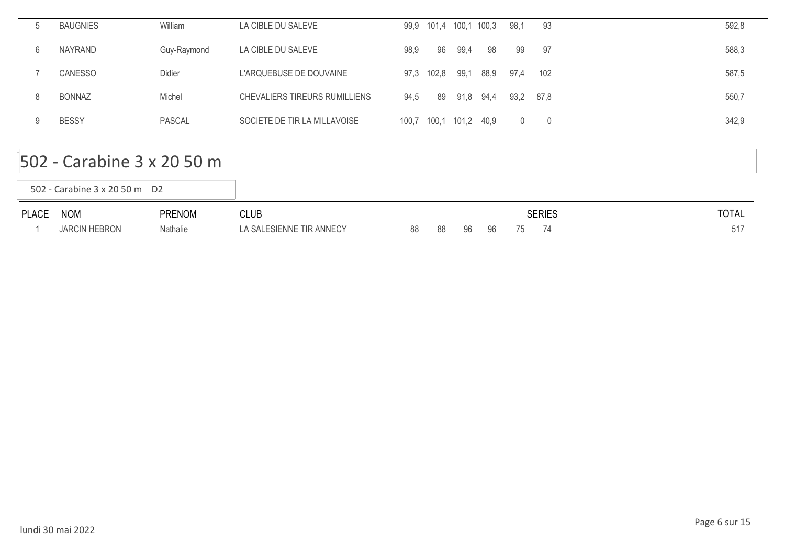|   | <b>BAUGNIES</b> | William       | LA CIBLE DU SALEVE            |       |       | 99,9 101,4 100,1 100,3 |      | 98,1           | -93            | 592,8 |
|---|-----------------|---------------|-------------------------------|-------|-------|------------------------|------|----------------|----------------|-------|
| 6 | NAYRAND         | Guy-Raymond   | LA CIBLE DU SALEVE            | 98,9  | 96    | 99,4                   | 98   | 99             | -97            | 588,3 |
|   | <b>CANESSO</b>  | Didier        | L'ARQUEBUSE DE DOUVAINE       | 97.3  | 102,8 | 99,1                   | 88,9 | 97.4           | 102            | 587,5 |
|   | <b>BONNAZ</b>   | Michel        | CHEVALIERS TIREURS RUMILLIENS | 94,5  | 89    | 91,8 94,4              |      | 93,2           | 87.8           | 550,7 |
|   | <b>BESSY</b>    | <b>PASCAL</b> | SOCIETE DE TIR LA MILLAVOISE  | 100,7 | 100,1 | 101,2 40,9             |      | $\overline{0}$ | $\overline{0}$ | 342,9 |

#### 502 - Carabine 3 x 20 50 m

|       | 502 - Carabine 3 x 20 50 m D2 |               |                          |    |     |    |    |    |               |              |
|-------|-------------------------------|---------------|--------------------------|----|-----|----|----|----|---------------|--------------|
| PLACE | <b>NOM</b>                    | <b>PRENOM</b> | CLUB                     |    |     |    |    |    | <b>SERIES</b> | <b>TOTAL</b> |
|       | <b>JARCIN HEBRON</b>          | Nathalie      | LA SALESIENNE TIR ANNECY | 88 | -88 | 96 | 96 | 75 | -74           |              |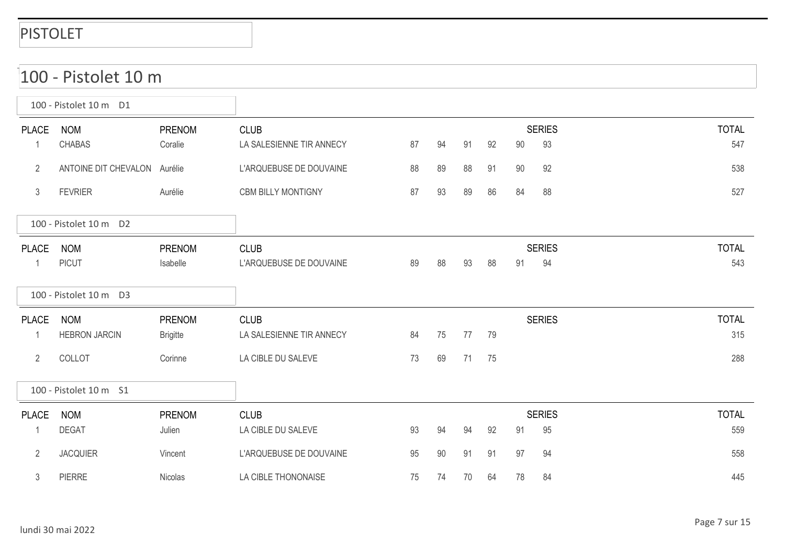|                | 100 - Pistolet 10 m          |                 |                           |    |    |    |    |        |               |              |
|----------------|------------------------------|-----------------|---------------------------|----|----|----|----|--------|---------------|--------------|
|                | 100 - Pistolet 10 m D1       |                 |                           |    |    |    |    |        |               |              |
| <b>PLACE</b>   | <b>NOM</b>                   | <b>PRENOM</b>   | <b>CLUB</b>               |    |    |    |    |        | <b>SERIES</b> | <b>TOTAL</b> |
| $\mathbf{1}$   | <b>CHABAS</b>                | Coralie         | LA SALESIENNE TIR ANNECY  | 87 | 94 | 91 | 92 | 90     | 93            | 547          |
| $\overline{2}$ | ANTOINE DIT CHEVALON Aurélie |                 | L'ARQUEBUSE DE DOUVAINE   | 88 | 89 | 88 | 91 | $90\,$ | 92            | 538          |
| $\mathfrak{Z}$ | <b>FEVRIER</b>               | Aurélie         | <b>CBM BILLY MONTIGNY</b> | 87 | 93 | 89 | 86 | 84     | 88            | 527          |
|                | 100 - Pistolet 10 m D2       |                 |                           |    |    |    |    |        |               |              |
| <b>PLACE</b>   | <b>NOM</b>                   | <b>PRENOM</b>   | <b>CLUB</b>               |    |    |    |    |        | <b>SERIES</b> | <b>TOTAL</b> |
| $\mathbf{1}$   | <b>PICUT</b>                 | Isabelle        | L'ARQUEBUSE DE DOUVAINE   | 89 | 88 | 93 | 88 | 91     | 94            | 543          |
|                | 100 - Pistolet 10 m D3       |                 |                           |    |    |    |    |        |               |              |
| <b>PLACE</b>   | <b>NOM</b>                   | <b>PRENOM</b>   | <b>CLUB</b>               |    |    |    |    |        | <b>SERIES</b> | <b>TOTAL</b> |
| $\mathbf{1}$   | <b>HEBRON JARCIN</b>         | <b>Brigitte</b> | LA SALESIENNE TIR ANNECY  | 84 | 75 | 77 | 79 |        |               | 315          |
| $\overline{2}$ | COLLOT                       | Corinne         | LA CIBLE DU SALEVE        | 73 | 69 | 71 | 75 |        |               | 288          |
|                | 100 - Pistolet 10 m S1       |                 |                           |    |    |    |    |        |               |              |
| <b>PLACE</b>   | <b>NOM</b>                   | <b>PRENOM</b>   | <b>CLUB</b>               |    |    |    |    |        | <b>SERIES</b> | <b>TOTAL</b> |
| 1              | <b>DEGAT</b>                 | Julien          | LA CIBLE DU SALEVE        | 93 | 94 | 94 | 92 | 91     | 95            | 559          |
| $\overline{2}$ | <b>JACQUIER</b>              | Vincent         | L'ARQUEBUSE DE DOUVAINE   | 95 | 90 | 91 | 91 | 97     | 94            | 558          |
| $\mathfrak{Z}$ | <b>PIERRE</b>                | Nicolas         | LA CIBLE THONONAISE       | 75 | 74 | 70 | 64 | 78     | 84            | 445          |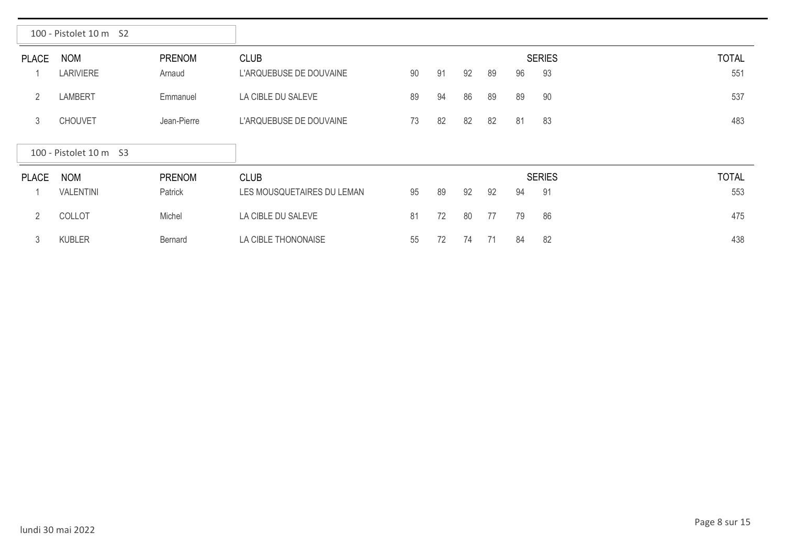|               | 100 - Pistolet 10 m S2         |                         |                                        |    |    |    |    |    |                     |                     |
|---------------|--------------------------------|-------------------------|----------------------------------------|----|----|----|----|----|---------------------|---------------------|
| <b>PLACE</b>  | <b>NOM</b><br><b>LARIVIERE</b> | <b>PRENOM</b><br>Arnaud | <b>CLUB</b><br>L'ARQUEBUSE DE DOUVAINE | 90 | 91 | 92 | 89 | 96 | <b>SERIES</b><br>93 | <b>TOTAL</b><br>551 |
| 2             | <b>LAMBERT</b>                 | Emmanuel                | LA CIBLE DU SALEVE                     | 89 | 94 | 86 | 89 | 89 | 90                  | 537                 |
| 3             | <b>CHOUVET</b>                 | Jean-Pierre             | L'ARQUEBUSE DE DOUVAINE                | 73 | 82 | 82 | 82 | 81 | 83                  | 483                 |
|               | 100 - Pistolet 10 m S3         |                         |                                        |    |    |    |    |    |                     |                     |
| <b>PLACE</b>  | <b>NOM</b>                     | <b>PRENOM</b>           | <b>CLUB</b>                            |    |    |    |    |    | <b>SERIES</b>       | <b>TOTAL</b>        |
|               | <b>VALENTINI</b>               | Patrick                 | LES MOUSQUETAIRES DU LEMAN             | 95 | 89 | 92 | 92 | 94 | 91                  | 553                 |
| $\mathcal{P}$ | COLLOT                         | Michel                  | LA CIBLE DU SALEVE                     | 81 | 72 | 80 | 77 | 79 | 86                  | 475                 |
| 3             | <b>KUBLER</b>                  | Bernard                 | LA CIBLE THONONAISE                    | 55 | 72 | 74 | 71 | 84 | 82                  | 438                 |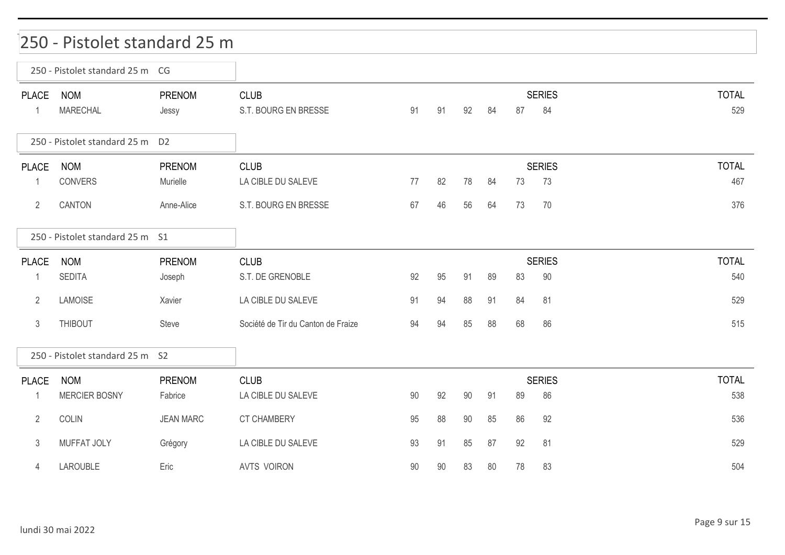#### 250 - Pistolet standard 25 m

|                             | 250 - Pistolet standard 25 m CG |                        |                                     |        |    |        |    |    |                     |                     |
|-----------------------------|---------------------------------|------------------------|-------------------------------------|--------|----|--------|----|----|---------------------|---------------------|
| <b>PLACE</b><br>$\mathbf 1$ | <b>NOM</b><br><b>MARECHAL</b>   | <b>PRENOM</b><br>Jessy | <b>CLUB</b><br>S.T. BOURG EN BRESSE | 91     | 91 | 92     | 84 | 87 | <b>SERIES</b><br>84 | <b>TOTAL</b><br>529 |
|                             | 250 - Pistolet standard 25 m D2 |                        |                                     |        |    |        |    |    |                     |                     |
| <b>PLACE</b>                | <b>NOM</b>                      | PRENOM                 | <b>CLUB</b>                         |        |    |        |    |    | <b>SERIES</b>       | <b>TOTAL</b>        |
| $\mathbf{1}$                | CONVERS                         | Murielle               | LA CIBLE DU SALEVE                  | 77     | 82 | 78     | 84 | 73 | 73                  | 467                 |
| $\overline{2}$              | CANTON                          | Anne-Alice             | S.T. BOURG EN BRESSE                | 67     | 46 | 56     | 64 | 73 | 70                  | 376                 |
|                             | 250 - Pistolet standard 25 m S1 |                        |                                     |        |    |        |    |    |                     |                     |
| <b>PLACE</b>                | <b>NOM</b>                      | PRENOM                 | <b>CLUB</b>                         |        |    |        |    |    | <b>SERIES</b>       | <b>TOTAL</b>        |
|                             | <b>SEDITA</b>                   | Joseph                 | S.T. DE GRENOBLE                    | 92     | 95 | 91     | 89 | 83 | 90                  | 540                 |
| $\overline{2}$              | <b>LAMOISE</b>                  | Xavier                 | LA CIBLE DU SALEVE                  | 91     | 94 | 88     | 91 | 84 | 81                  | 529                 |
| 3                           | <b>THIBOUT</b>                  | Steve                  | Société de Tir du Canton de Fraize  | 94     | 94 | 85     | 88 | 68 | 86                  | 515                 |
|                             | 250 - Pistolet standard 25 m S2 |                        |                                     |        |    |        |    |    |                     |                     |
| <b>PLACE</b>                | <b>NOM</b>                      | <b>PRENOM</b>          | <b>CLUB</b>                         |        |    |        |    |    | <b>SERIES</b>       | <b>TOTAL</b>        |
| $\mathbf 1$                 | <b>MERCIER BOSNY</b>            | Fabrice                | LA CIBLE DU SALEVE                  | 90     | 92 | 90     | 91 | 89 | 86                  | 538                 |
| $\overline{2}$              | <b>COLIN</b>                    | <b>JEAN MARC</b>       | <b>CT CHAMBERY</b>                  | 95     | 88 | $90\,$ | 85 | 86 | 92                  | 536                 |
| 3                           | MUFFAT JOLY                     | Grégory                | LA CIBLE DU SALEVE                  | 93     | 91 | 85     | 87 | 92 | 81                  | 529                 |
| 4                           | LAROUBLE                        | Eric                   | <b>AVTS VOIRON</b>                  | $90\,$ | 90 | 83     | 80 | 78 | 83                  | 504                 |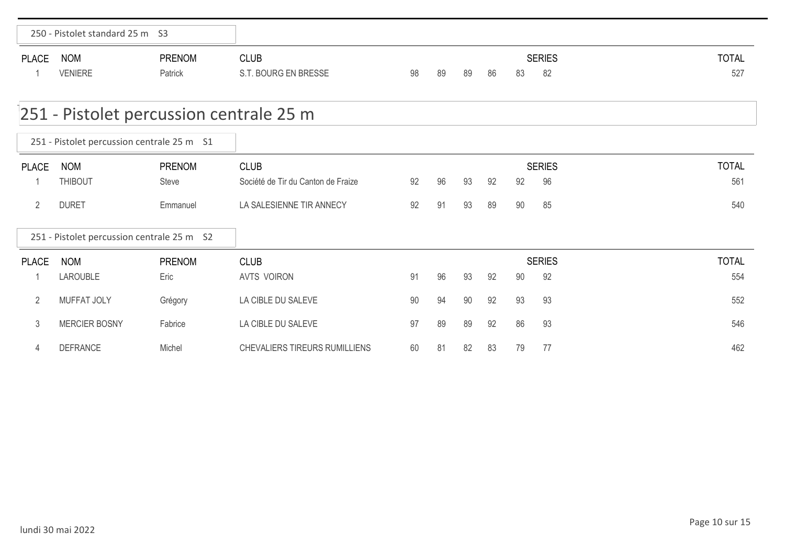|                | 250 - Pistolet standard 25 m S3            |               |                                      |    |    |    |    |    |               |              |
|----------------|--------------------------------------------|---------------|--------------------------------------|----|----|----|----|----|---------------|--------------|
| <b>PLACE</b>   | <b>NOM</b>                                 | <b>PRENOM</b> | <b>CLUB</b>                          |    |    |    |    |    | <b>SERIES</b> | <b>TOTAL</b> |
|                | <b>VENIERE</b>                             | Patrick       | S.T. BOURG EN BRESSE                 | 98 | 89 | 89 | 86 | 83 | 82            | 527          |
|                | 251 - Pistolet percussion centrale 25 m    |               |                                      |    |    |    |    |    |               |              |
|                | 251 - Pistolet percussion centrale 25 m S1 |               |                                      |    |    |    |    |    |               |              |
| <b>PLACE</b>   | <b>NOM</b>                                 | <b>PRENOM</b> | <b>CLUB</b>                          |    |    |    |    |    | <b>SERIES</b> | <b>TOTAL</b> |
|                | <b>THIBOUT</b>                             | Steve         | Société de Tir du Canton de Fraize   | 92 | 96 | 93 | 92 | 92 | 96            | 561          |
| $\overline{2}$ | <b>DURET</b>                               | Emmanuel      | LA SALESIENNE TIR ANNECY             | 92 | 91 | 93 | 89 | 90 | 85            | 540          |
|                | 251 - Pistolet percussion centrale 25 m S2 |               |                                      |    |    |    |    |    |               |              |
| <b>PLACE</b>   | <b>NOM</b>                                 | PRENOM        | <b>CLUB</b>                          |    |    |    |    |    | <b>SERIES</b> | <b>TOTAL</b> |
|                | LAROUBLE                                   | Eric          | <b>AVTS VOIRON</b>                   | 91 | 96 | 93 | 92 | 90 | 92            | 554          |
| $\overline{2}$ | MUFFAT JOLY                                | Grégory       | LA CIBLE DU SALEVE                   | 90 | 94 | 90 | 92 | 93 | 93            | 552          |
| 3              | <b>MERCIER BOSNY</b>                       | Fabrice       | LA CIBLE DU SALEVE                   | 97 | 89 | 89 | 92 | 86 | 93            | 546          |
| 4              | <b>DEFRANCE</b>                            | Michel        | <b>CHEVALIERS TIREURS RUMILLIENS</b> | 60 | 81 | 82 | 83 | 79 | 77            | 462          |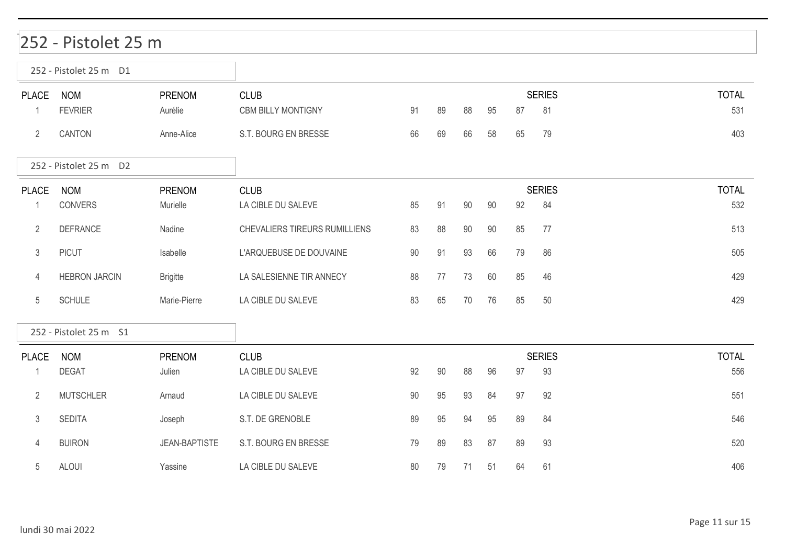### 252 - Pistolet 25 m

|                   | 252 - Pistolet 25 m D1       |                           |                                          |    |    |    |    |    |                     |                     |
|-------------------|------------------------------|---------------------------|------------------------------------------|----|----|----|----|----|---------------------|---------------------|
| <b>PLACE</b>      | <b>NOM</b><br><b>FEVRIER</b> | <b>PRENOM</b><br>Aurélie  | <b>CLUB</b><br><b>CBM BILLY MONTIGNY</b> | 91 | 89 | 88 | 95 | 87 | <b>SERIES</b><br>81 | <b>TOTAL</b><br>531 |
| $\overline{2}$    | CANTON                       | Anne-Alice                | S.T. BOURG EN BRESSE                     | 66 | 69 | 66 | 58 | 65 | 79                  | 403                 |
|                   | 252 - Pistolet 25 m D2       |                           |                                          |    |    |    |    |    |                     |                     |
| <b>PLACE</b><br>1 | <b>NOM</b><br>CONVERS        | <b>PRENOM</b><br>Murielle | <b>CLUB</b><br>LA CIBLE DU SALEVE        | 85 | 91 | 90 | 90 | 92 | <b>SERIES</b><br>84 | <b>TOTAL</b><br>532 |
| $\overline{2}$    | <b>DEFRANCE</b>              | Nadine                    | CHEVALIERS TIREURS RUMILLIENS            | 83 | 88 | 90 | 90 | 85 | 77                  | 513                 |
| $\mathfrak{Z}$    | <b>PICUT</b>                 | Isabelle                  | L'ARQUEBUSE DE DOUVAINE                  | 90 | 91 | 93 | 66 | 79 | 86                  | 505                 |
| 4                 | <b>HEBRON JARCIN</b>         | <b>Brigitte</b>           | LA SALESIENNE TIR ANNECY                 | 88 | 77 | 73 | 60 | 85 | 46                  | 429                 |
| 5                 | <b>SCHULE</b>                | Marie-Pierre              | LA CIBLE DU SALEVE                       | 83 | 65 | 70 | 76 | 85 | 50                  | 429                 |
|                   | 252 - Pistolet 25 m S1       |                           |                                          |    |    |    |    |    |                     |                     |
| <b>PLACE</b>      | <b>NOM</b><br><b>DEGAT</b>   | <b>PRENOM</b><br>Julien   | <b>CLUB</b><br>LA CIBLE DU SALEVE        | 92 | 90 | 88 | 96 | 97 | <b>SERIES</b><br>93 | <b>TOTAL</b><br>556 |
| $\overline{2}$    | <b>MUTSCHLER</b>             | Arnaud                    | LA CIBLE DU SALEVE                       | 90 | 95 | 93 | 84 | 97 | 92                  | 551                 |
| $\mathfrak{Z}$    | <b>SEDITA</b>                | Joseph                    | S.T. DE GRENOBLE                         | 89 | 95 | 94 | 95 | 89 | 84                  | 546                 |
| 4                 | <b>BUIRON</b>                | <b>JEAN-BAPTISTE</b>      | S.T. BOURG EN BRESSE                     | 79 | 89 | 83 | 87 | 89 | 93                  | 520                 |
| 5                 | <b>ALOUI</b>                 | Yassine                   | LA CIBLE DU SALEVE                       | 80 | 79 | 71 | 51 | 64 | 61                  | 406                 |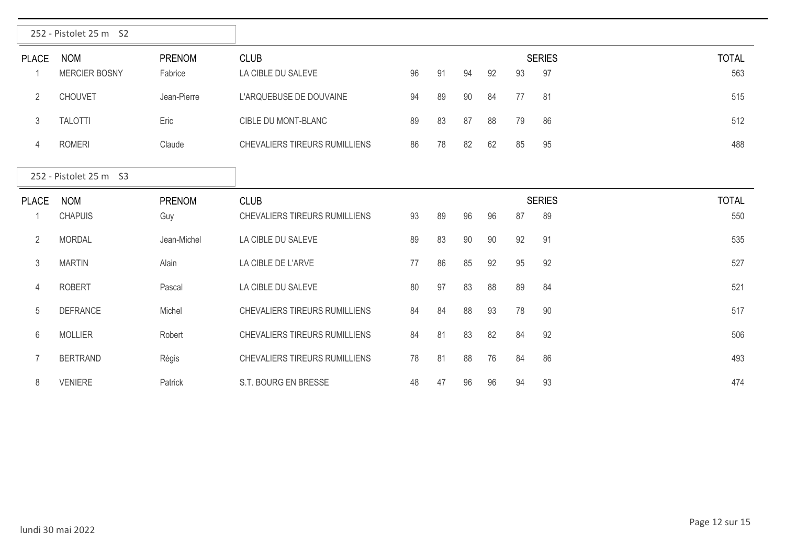|                | 252 - Pistolet 25 m S2             |                   |                                   |    |    |    |    |    |                     |                     |
|----------------|------------------------------------|-------------------|-----------------------------------|----|----|----|----|----|---------------------|---------------------|
| <b>PLACE</b>   | <b>NOM</b><br><b>MERCIER BOSNY</b> | PRENOM<br>Fabrice | <b>CLUB</b><br>LA CIBLE DU SALEVE | 96 | 91 | 94 | 92 | 93 | <b>SERIES</b><br>97 | <b>TOTAL</b><br>563 |
| $\overline{2}$ | <b>CHOUVET</b>                     | Jean-Pierre       | L'ARQUEBUSE DE DOUVAINE           | 94 | 89 | 90 | 84 | 77 | 81                  | 515                 |
| 3              | <b>TALOTTI</b>                     | Eric              | CIBLE DU MONT-BLANC               | 89 | 83 | 87 | 88 | 79 | 86                  | 512                 |
| 4              | <b>ROMERI</b>                      | Claude            | CHEVALIERS TIREURS RUMILLIENS     | 86 | 78 | 82 | 62 | 85 | 95                  | 488                 |
|                | 252 - Pistolet 25 m S3             |                   |                                   |    |    |    |    |    |                     |                     |
| <b>PLACE</b>   | <b>NOM</b>                         | PRENOM            | <b>CLUB</b>                       |    |    |    |    |    | <b>SERIES</b>       | <b>TOTAL</b>        |
|                | <b>CHAPUIS</b>                     | Guy               | CHEVALIERS TIREURS RUMILLIENS     | 93 | 89 | 96 | 96 | 87 | 89                  | 550                 |
| $\overline{2}$ | <b>MORDAL</b>                      | Jean-Michel       | LA CIBLE DU SALEVE                | 89 | 83 | 90 | 90 | 92 | 91                  | 535                 |
| 3              | <b>MARTIN</b>                      | Alain             | LA CIBLE DE L'ARVE                | 77 | 86 | 85 | 92 | 95 | 92                  | 527                 |
| 4              | <b>ROBERT</b>                      | Pascal            | LA CIBLE DU SALEVE                | 80 | 97 | 83 | 88 | 89 | 84                  | 521                 |
| 5              | <b>DEFRANCE</b>                    | Michel            | CHEVALIERS TIREURS RUMILLIENS     | 84 | 84 | 88 | 93 | 78 | 90                  | 517                 |
| 6              | <b>MOLLIER</b>                     | Robert            | CHEVALIERS TIREURS RUMILLIENS     | 84 | 81 | 83 | 82 | 84 | 92                  | 506                 |
| $\overline{7}$ | <b>BERTRAND</b>                    | Régis             | CHEVALIERS TIREURS RUMILLIENS     | 78 | 81 | 88 | 76 | 84 | 86                  | 493                 |
| 8              | <b>VENIERE</b>                     | Patrick           | S.T. BOURG EN BRESSE              | 48 | 47 | 96 | 96 | 94 | 93                  | 474                 |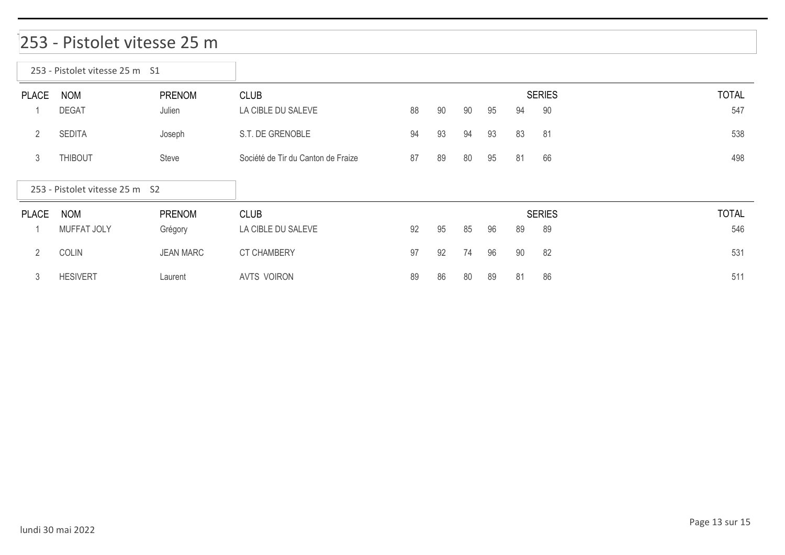#### 253 - Pistolet vitesse 25 m

 $\overline{\phantom{a}}$ 

|                | 253 - Pistolet vitesse 25 m S1 |                  |                                    |    |    |    |    |    |               |              |
|----------------|--------------------------------|------------------|------------------------------------|----|----|----|----|----|---------------|--------------|
| <b>PLACE</b>   | <b>NOM</b>                     | <b>PRENOM</b>    | <b>CLUB</b>                        |    |    |    |    |    | <b>SERIES</b> | <b>TOTAL</b> |
|                | <b>DEGAT</b>                   | Julien           | LA CIBLE DU SALEVE                 | 88 | 90 | 90 | 95 | 94 | 90            | 547          |
| $\overline{2}$ | <b>SEDITA</b>                  | Joseph           | S.T. DE GRENOBLE                   | 94 | 93 | 94 | 93 | 83 | 81            | 538          |
| 3              | <b>THIBOUT</b>                 | Steve            | Société de Tir du Canton de Fraize | 87 | 89 | 80 | 95 | 81 | 66            | 498          |
|                |                                |                  |                                    |    |    |    |    |    |               |              |
|                | 253 - Pistolet vitesse 25 m S2 |                  |                                    |    |    |    |    |    |               |              |
| <b>PLACE</b>   | <b>NOM</b>                     | <b>PRENOM</b>    | <b>CLUB</b>                        |    |    |    |    |    | <b>SERIES</b> | <b>TOTAL</b> |
|                | <b>MUFFAT JOLY</b>             | Grégory          | LA CIBLE DU SALEVE                 | 92 | 95 | 85 | 96 | 89 | 89            | 546          |
| $\overline{2}$ | <b>COLIN</b>                   | <b>JEAN MARC</b> | <b>CT CHAMBERY</b>                 | 97 | 92 | 74 | 96 | 90 | 82            | 531          |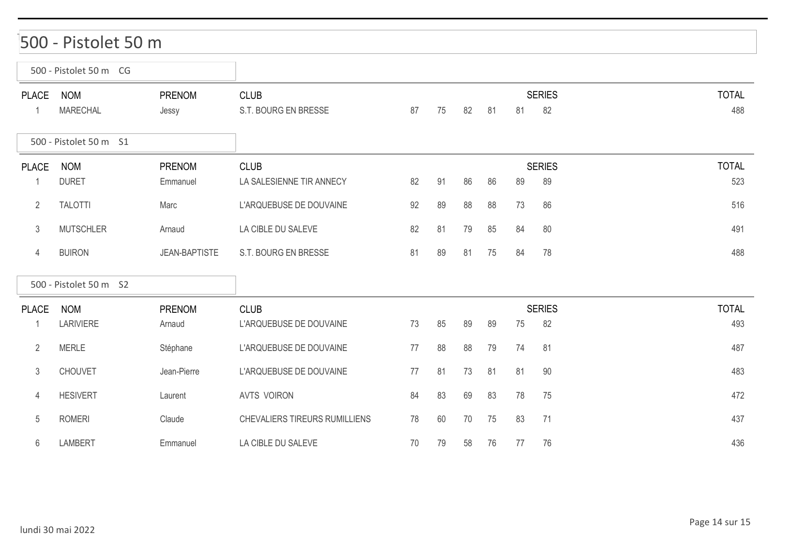#### 500 - Pistolet 50 m

|                                | 500 - Pistolet 50 m CG         |                           |                                         |    |    |    |    |    |                     |              |     |
|--------------------------------|--------------------------------|---------------------------|-----------------------------------------|----|----|----|----|----|---------------------|--------------|-----|
| <b>PLACE</b><br>$\overline{1}$ | <b>NOM</b><br><b>MARECHAL</b>  | <b>PRENOM</b><br>Jessy    | <b>CLUB</b><br>S.T. BOURG EN BRESSE     | 87 | 75 | 82 | 81 | 81 | <b>SERIES</b><br>82 | <b>TOTAL</b> | 488 |
|                                | 500 - Pistolet 50 m S1         |                           |                                         |    |    |    |    |    |                     |              |     |
| <b>PLACE</b>                   | <b>NOM</b><br><b>DURET</b>     | <b>PRENOM</b><br>Emmanuel | <b>CLUB</b><br>LA SALESIENNE TIR ANNECY | 82 | 91 | 86 | 86 | 89 | <b>SERIES</b><br>89 | <b>TOTAL</b> | 523 |
| $\overline{2}$                 | <b>TALOTTI</b>                 | Marc                      | L'ARQUEBUSE DE DOUVAINE                 | 92 | 89 | 88 | 88 | 73 | 86                  |              | 516 |
| 3                              | <b>MUTSCHLER</b>               | Arnaud                    | LA CIBLE DU SALEVE                      | 82 | 81 | 79 | 85 | 84 | 80                  |              | 491 |
| 4                              | <b>BUIRON</b>                  | <b>JEAN-BAPTISTE</b>      | S.T. BOURG EN BRESSE                    | 81 | 89 | 81 | 75 | 84 | 78                  |              | 488 |
|                                | 500 - Pistolet 50 m S2         |                           |                                         |    |    |    |    |    |                     |              |     |
| <b>PLACE</b><br>-1             | <b>NOM</b><br><b>LARIVIERE</b> | <b>PRENOM</b><br>Arnaud   | <b>CLUB</b><br>L'ARQUEBUSE DE DOUVAINE  | 73 | 85 | 89 | 89 | 75 | <b>SERIES</b><br>82 | <b>TOTAL</b> | 493 |
| 2                              | <b>MERLE</b>                   | Stéphane                  | L'ARQUEBUSE DE DOUVAINE                 | 77 | 88 | 88 | 79 | 74 | 81                  |              | 487 |
| $\mathfrak{Z}$                 | <b>CHOUVET</b>                 | Jean-Pierre               | L'ARQUEBUSE DE DOUVAINE                 | 77 | 81 | 73 | 81 | 81 | 90                  |              | 483 |
| 4                              | <b>HESIVERT</b>                | Laurent                   | <b>AVTS VOIRON</b>                      | 84 | 83 | 69 | 83 | 78 | 75                  |              | 472 |
| 5                              | <b>ROMERI</b>                  | Claude                    | CHEVALIERS TIREURS RUMILLIENS           | 78 | 60 | 70 | 75 | 83 | 71                  |              | 437 |
| 6                              | <b>LAMBERT</b>                 | Emmanuel                  | LA CIBLE DU SALEVE                      | 70 | 79 | 58 | 76 | 77 | 76                  |              | 436 |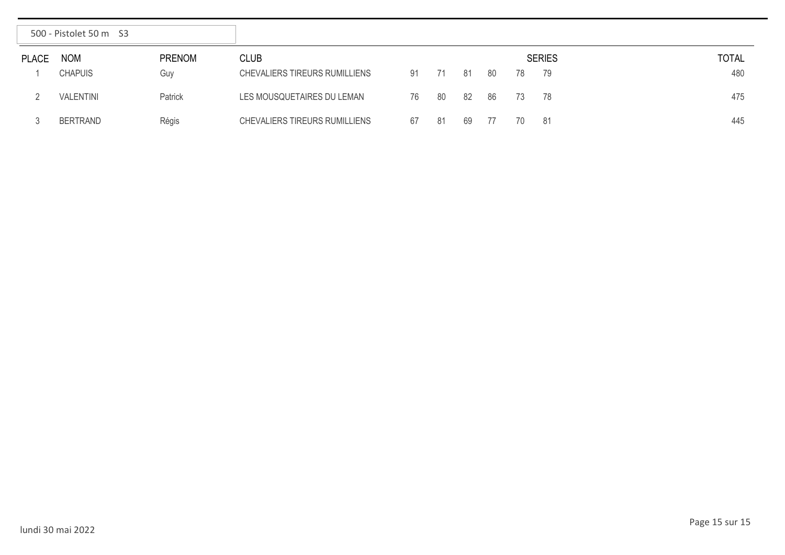|              | 500 - Pistolet 50 m S3 |               |                               |    |    |     |    |    |               |              |
|--------------|------------------------|---------------|-------------------------------|----|----|-----|----|----|---------------|--------------|
| <b>PLACE</b> | <b>NOM</b>             | <b>PRENOM</b> | <b>CLUB</b>                   |    |    |     |    |    | <b>SERIES</b> | <b>TOTAL</b> |
|              | <b>CHAPUIS</b>         | Guy           | CHEVALIERS TIREURS RUMILLIENS | 91 | 71 | 81  | 80 | 78 | - 79          | 480          |
|              | <b>VALENTINI</b>       | Patrick       | LES MOUSQUETAIRES DU LEMAN    | 76 | 80 | -82 | 86 | 73 | - 78          | 475          |
|              | <b>BERTRAND</b>        | Régis         | CHEVALIERS TIREURS RUMILLIENS | 67 | 81 | 69  | 77 | 70 | - 81          | 445          |